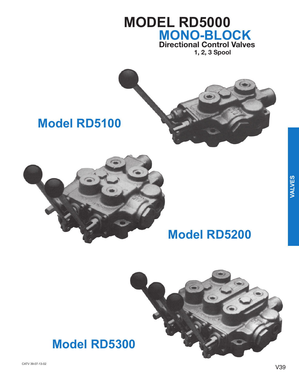# **MODEL RD5000 MONO-BLOCK**<br>Directional Control Valves

1, 2, 3 Spool



## **Model RD5100**



## **Model RD5200**



## **Model RD5300**

CATV 39-07-13-02

VALVES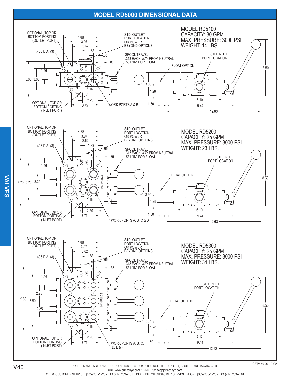## **MODEL RD5000 DIMENSIONAL DATA**



URL: www.princehyd.com . E-MAIL: prince@princehyd.com O.E.M. CUSTOMER SERVICE: (605) 235-1220 · FAX (712) 233-2181 DISTRIBUTOR CUSTOMER SERVICE: PHONE (605) 235-1220 · FAX (712) 233-2181

**VALVES VALVES**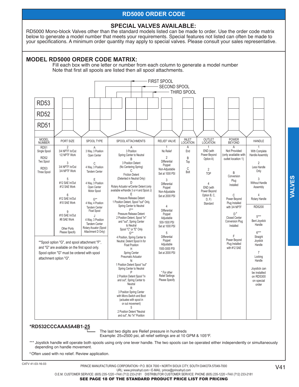## **RD5000 ORDER CODE**

## **SPECIAL VALVES AVAILABLE:**

RD5000 Mono-block Valves other than the standard models listed can be made to order. Use the order code matrix below to generate a model number that meets your requirements. Special features not listed can often be made to your specifications. A minimum order quantity may apply to special valves. Please consult your sales representative.



Fill each box with one letter or number from each column to generate a model number Note that first all spools are listed then all spool attachments.



#### \*RD532CCCAAA5A4B1-25

The last two digits are Relief pressure in hundreds Example: 25=2500 psi, all relief settings are at 10 GPM & 105°F.

\*\*\* Joystick handle will operate both spools using only one lever handle. The two spools can be operated either independently or simultaneously depending on handle movement.

<sup>0</sup> Often used with no relief. Review application.

CATV 41-03-16-03

PRINCE MANUFACTURING CORPORATION · P.O. BOX 7000 · NORTH SIOUX CITY, SOUTH DAKOTA 57049-7000 URL: www.princehyd.com . E-MAIL: prince@princehyd.com O.E.M. CUSTOMER SERVICE: (605) 235-1220 • FAX (712) 233-2181 DISTRIBUTOR CUSTOMER SERVICE: PHONE (605) 235-1220 • FAX (712) 233-2181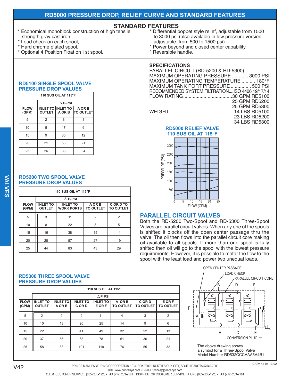## RD5000 PRESSURE DROP, RELIEF CURVE AND STANDARD FEATURES

## **STANDARD FEATURES**

- Economical monoblock construction of high tensile strength gray cast iron.
- Load check on each spool,
- Hard chrome plated spool.
- Optional 4 Position Float on 1st spool.

#### Differential poppet style relief, adjustable from 1500 to 3000 psi (also available in low pressure version adjustable from 500 to 1500 psi)

- Power beyond and closed center capability.
- \* Reversible handle.

#### **SPECIFICATIONS**

| PARALLEL CIRCUIT (RD-5200 & RD-5300)           |
|------------------------------------------------|
| MAXIMUM OPERATING PRESSURE  3000 PSI           |
| MAXIMUM OPERATING TEMPERATURE  180°F           |
| MAXIMUM TANK PORT PRESSURE  500 PSI            |
| RECOMMENDED SYSTEM FILTRATIONISO 4406 19/17/14 |
|                                                |
| 25 GPM RD5200                                  |
| 25 GPM RD5300                                  |
|                                                |
| 23 LBS RD5200                                  |
| 34 LBS RD5300                                  |

## **RD5000 RELIEF VALVE**



### **RD5100 SINGLE SPOOL VALVE PRESSURE DROP VALUES**

| <b>110 SUS OIL AT 115°F</b> |                |                                    |                      |  |  |  |  |  |
|-----------------------------|----------------|------------------------------------|----------------------|--|--|--|--|--|
|                             |                | $\Lambda$ P-PSI                    |                      |  |  |  |  |  |
| <b>FLOW</b><br>(GPM)        | <b>OUTLET</b>  | <b>INLET TO INLET TO</b><br>A OR B | A OR B<br>Ιτο ουτιετ |  |  |  |  |  |
| 5                           | $\overline{2}$ | 8                                  | 3                    |  |  |  |  |  |
| 10                          | 5              | 17                                 | 6                    |  |  |  |  |  |
| 15                          | 9              | 35                                 | 12                   |  |  |  |  |  |
| 20                          | 21             | 58                                 | 21                   |  |  |  |  |  |
| 25                          | 26             | 86                                 | 34                   |  |  |  |  |  |

#### **RD5200 TWO SPOOL VALVE PRESSURE DROP VALUES**

| 110 SUS OIL AT 115°F |                                  |                                      |                            |                               |  |  |  |  |  |  |
|----------------------|----------------------------------|--------------------------------------|----------------------------|-------------------------------|--|--|--|--|--|--|
|                      | $\Delta$ P-PSI                   |                                      |                            |                               |  |  |  |  |  |  |
| <b>FLOW</b><br>(GPM) | <b>INLET TO</b><br><b>OUTLET</b> | <b>INLET TO</b><br><b>WORK PORTS</b> | A OR B<br><b>TO OUTLET</b> | C OR D TO<br><b>TO OUTLET</b> |  |  |  |  |  |  |
| 5                    | 3                                | 11                                   | 2                          | 2                             |  |  |  |  |  |  |
| 10                   | 8                                | 22                                   | 8                          | 5                             |  |  |  |  |  |  |
| 15                   | 16                               | 38                                   | 15                         | 11                            |  |  |  |  |  |  |
| 20                   | 28                               | 57                                   | 27                         | 19                            |  |  |  |  |  |  |
| 25                   | 44                               | 83                                   | 43                         | 29                            |  |  |  |  |  |  |

## **PARALLEL CIRCUIT VALVES:**

Both the RD-5200 Two-Spool and RD-5300 Three-Spool Valves are parallel circuit valves. When any one of the spools is shifted it blocks off the open center passage thru the valve. The oil then flows into the parallel circuit core making oil available to all spools. If more than one spool is fully shifted then oil will go to the spool with the lowest pressure requirements. However, it is possible to meter the flow to the spool with the least load and power two unequal loads.

#### **RD5300 THREE SPOOL VALVE PRESSURE DROP VALUES**

|                      | <b>110 SUS OIL AT 115°F</b>      |                           |                           |                           |                            |                            |                                   |  |  |  |  |
|----------------------|----------------------------------|---------------------------|---------------------------|---------------------------|----------------------------|----------------------------|-----------------------------------|--|--|--|--|
|                      |                                  | $\triangle$ P-PSI         |                           |                           |                            |                            |                                   |  |  |  |  |
| <b>FLOW</b><br>(GPM) | <b>INLET TO</b><br><b>OUTLET</b> | <b>INLET TO</b><br>A OR B | <b>INLET TO</b><br>C OR D | <b>INLET TO</b><br>E OR F | A OR B<br><b>TO OUTLET</b> | C OR D<br><b>TO OUTLET</b> | <b>E OR F</b><br><b>TO OUTLET</b> |  |  |  |  |
| 5                    | 2                                | 9                         | 9                         | 11                        | $\overline{4}$             | 3                          | $\overline{2}$                    |  |  |  |  |
| 10                   | 10                               | 18                        | 20                        | 25                        | 14                         | 9                          | 6                                 |  |  |  |  |
| 15                   | 22                               | 33                        | 41                        | 49                        | 32                         | 22                         | 13                                |  |  |  |  |
| 20                   | 37                               | 56                        | 68                        | 78                        | 51                         | 36                         | 21                                |  |  |  |  |
| 25                   | 58                               | 83                        | 101                       | 118                       | 76                         | 55                         | 32                                |  |  |  |  |



CATV 42-07-13-02

#### PRINCE MANUFACTURING CORPORATION · P.O. BOX 7000 · NORTH SIOUX CITY, SOUTH DAKOTA 57049-7000 URL: www.princehyd.com . E-MAIL: prince@princehyd.com O.E.M. CUSTOMER SERVICE: (605) 235-1220 · FAX (712) 233-2181 DISTRIBUTOR CUSTOMER SERVICE: PHONE (605) 235-1220 · FAX (712) 233-2181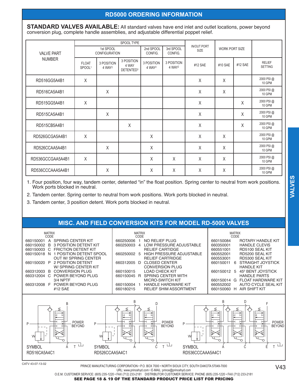## **RD5000 ORDERING INFORMATION**

**STANDARD VALVES AVAILABLE:** All standard valves have end inlet and outlet locations, power beyond conversion plug, complete handle assemblies, and adjustable differential poppet relief.

|                                    |                                    |                                   | SPOOL TYPE                                   |                                  |                                  |                            |                       |         |                                 |
|------------------------------------|------------------------------------|-----------------------------------|----------------------------------------------|----------------------------------|----------------------------------|----------------------------|-----------------------|---------|---------------------------------|
| <b>VALVE PART</b><br><b>NUMBER</b> |                                    | 1st SPOOL<br><b>CONFIGURATION</b> |                                              | 2nd SPOOL<br>CONFIG.             | 3rd SPOOL<br>CONFIG.             | <b>IN/OUT PORT</b><br>SIZE | <b>WORK PORT SIZE</b> |         |                                 |
|                                    | <b>FLOAT</b><br>SPOOL <sup>1</sup> | 3 POSITION<br>4 WAY <sup>2</sup>  | 3 POSITION<br>4 WAY<br>DETENTED <sup>3</sup> | 3 POSITION<br>4 WAY <sup>2</sup> | 3 POSITION<br>4 WAY <sup>2</sup> | #12 SAE                    | #10 SAE               | #12 SAE | <b>RELIEF</b><br><b>SETTING</b> |
| RD516GG5A4B1                       | X                                  |                                   |                                              |                                  |                                  | X                          | X                     |         | 2000 PSI @<br>10 GPM            |
| RD516CA5A4B1                       |                                    | Χ                                 |                                              |                                  |                                  | $\sf X$                    | X                     |         | 2000 PSI @<br>10 GPM            |
| RD515GG5A4B1                       | X                                  |                                   |                                              |                                  |                                  | X                          |                       | X       | 2000 PSI @<br>10 GPM            |
| RD515CA5A4B1                       |                                    | Χ                                 |                                              |                                  |                                  | $\sf X$                    |                       | Χ       | 2000 PSI @<br>10 GPM            |
| RD515CB5A4B1                       |                                    |                                   | Χ                                            |                                  |                                  | $\mathsf X$                |                       | Χ       | 2000 PSI @<br>10 GPM            |
| RD526GCGA5A4B1                     | $\times$                           |                                   |                                              | X                                |                                  | $\times$                   | X                     |         | 2000 PSI @<br>10 GPM            |
| RD526CCAA5A4B1                     |                                    | Χ                                 |                                              | X                                |                                  | $\times$                   | X                     |         | 2000 PSI @<br>10 GPM            |
| RD536GCCGAA5A4B1                   | $\chi$                             |                                   |                                              | X                                | X                                | X                          | $\sf X$               |         | 2000 PSI @<br>10 GPM            |
| RD536CCCAAA5A4B1                   |                                    | X                                 |                                              | X                                | X                                | X                          | X                     |         | 2000 PSI @<br>10 GPM            |

1. Four position, four way, tandem center, detented "in" the float position. Spring center to neutral from work positions. Work ports blocked in neutral.

2. Tandem center. Spring center to neutral from work positions. Work ports blocked in neutral.

3. Tandem center, 3 position detent. Work ports blocked in neutral.

## **MISC. AND FIELD CONVERSION KITS FOR MODEL RD-5000 VALVES**



CATV 43-07-13-02

PRINCE MANUFACTURING CORPORATION . P.O. BOX 7000 . NORTH SIOUX CITY, SOUTH DAKOTA 57049-7000 URL: www.princehyd.com . E-MAIL: prince@princehyd.com

SEE PAGE 18 & 19 OF THE STANDARD PRODUCT PRICE LIST FOR PRICING

O.E.M. CUSTOMER SERVICE: (605) 235-1220 • FAX (712) 233-2181 DISTRIBUTOR CUSTOMER SERVICE: PHONE (605) 235-1220 • FAX (712) 233-2181

**VALVES**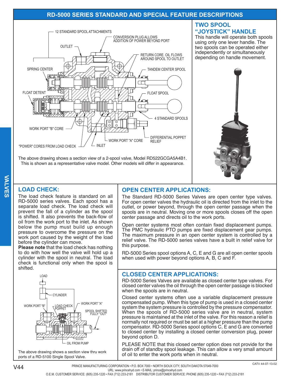## **RD-5000 SERIES STANDARD AND SPECIAL FEATURE DESCRIPTIONS**



The above drawing shows a section view of a 2-spool valve, Model RD522GCGA5A4B1. This is shown as a representative valve model. Other models will differ in appearance.

## **TWO SPOOL** "JOYSTICK" HANDLE

This handle will operate both spools using only one lever handle. The two spools can be operated either independently or simultaneously depending on handle movement.



## **LOAD CHECK:**

The load check feature is standard on all RD-5000 series valves. Each spool has a separate load check. The load check will prevent the fall of a cylinder as the spool is shifted. It also prevents the back-flow of oil from the work port to the inlet. As shown below the pump must build up enough pressure to overcome the pressure on the work port caused by the weight of the load before the cylinder can move.

Please note that the load check has nothing to do with how well the valve will hold up a cylinder with the spool in neutral. The load check is functional only when the spool is shifted.



ports of a RD-5100 Single Spool Valve.

## **OPEN CENTER APPLICATIONS:**

The Standard RD-5000 Series Valves are open center type valves. For open center valves the hydraulic oil is directed from the inlet to the outlet, or power beyond, through the open center passage when the spools are in neutral. Moving one or more spools closes off the open center passage and directs oil to the work ports.

Open center systems most often contain fixed displacement pumps. The PMC hydraulic PTO pumps are fixed displacement gear pumps. The maximum pressure in an open center system is controlled by a relief valve. The RD-5000 series valves have a built in relief valve for this purpose.

RD-5000 Series spool options A, C, E and G are all open center spools when used with power beyond options A, B, C and F.

## **CLOSED CENTER APPLICATIONS:**

RD-5000 Series Valves are available as closed center type valves. For closed center valves the oil through the open center passage is blocked when the spools are in neutral.

Closed center systems often use a variable displacement pressure compensated pump. When this type of pump is used in a closed center system the system pressure is controlled by the pressure compensator. When the spools of RD-5000 series valve are in neutral, system pressure is maintained at the inlet of the valve. For this reason a relief is normally not required or must be set at a higher pressure than the pump compensator. RD-5000 Series spool options C, E and G are converted to closed center by installing a closed center conversion plug, power beyond option D.

PLEASE NOTE that this closed center option does not provide for the drain off of standby spool leakage. This can allow a very small amount of oil to enter the work ports when in neutral.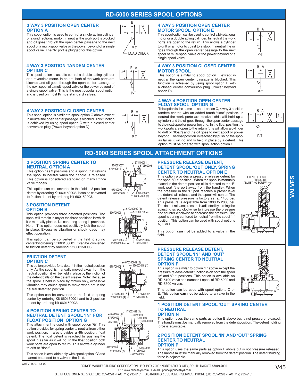## **RD-5000 SERIES SPOOL OPTIONS**

#### **3 WAY 3 POSITION OPEN CENTER OPTION A**

This spool option is used to control a single acting cylinder or a unidirectional motor. In neutral the work port is blocked and oil goes through the open center passage to the next spool of a multi-spool valve or the power beyond of a single spool valve. The "A" port is plugged for this option.



R

#### **4 WAY 3 POSITION TANDEM CENTER OPTION C**

This spool option is used to control a double acting cylinder or a reversible motor. In neutral both of the work ports are blocked and oil goes through the open center passage to the next spool of a multi-spool valve or the power beyond of a single spool valve. This is the most popular spool option and is used on most Prince standard valves.



#### **4 WAY 3 POSITION CLOSED CENTER**

This spool option is similar to spool option C above except in neutral the open center passage is blocked. This function is achieved by using spool option C with a closed center conversion plug (Power beyond option D).



L

 $P-T$ 

#### **4 WAY 3 POSITION OPEN CENTER MOTOR SPOOL OPTION E**

This spool option can be used to control a bi-rotational motor or a double acting cylinder. In neutral the work ports are open to the return. This allows a cylinder to drift or a motor to coast to a stop. In neutral the oil goes through the open center passage to the next spool of multi-spool valve or the power beyond of a single spool valve.

#### **4 WAY 3 POSITION CLOSED CENTER MOTOR SPOOL**

This option is similar to spool option E except in neutral the open center passage is blocked. This function is achieved by using spool option E with a closed center conversion plug (Power beyond option D).

#### **4 WAY 4 POSITION OPEN CENTER FLOAT SPOOL OPTION G**

This option is the same as spool option C, 4 way 3 position<br>tandem center, with an added fourth "float" position. In neutral the work ports are blocked (this will hold up a cylinder) and the oil goes through the open center passage to the next spool or power beyond. In the float position the work ports are open to the return (this will allow a cylinder to drift or "float") and the oil goes to next spool or power beyond. The float position is reached by pushing the spool as far as it will go and Is held in place by a detent. This option must be ordered with spool action option G.



 $P-T$ 

₿

P-T

## **RD-5000 SERIES SPOOL ATTACHMENT OPTIONS**

#### **3 POSITION SPRING CENTER TO NEUTRAL OPTION A**

This option has 3 positions and a spring that returns the spool to neutral when the handle is released. This option is considered standard on many Prince valve models



This option can be converted in the field to 3 position detent by ordering Kit 660150002. It can be converted to friction detent by ordering Kit 660150003.

#### **3 POSITION DETENT OPTION B**

This option provides three detented positions. The spool will remain in any of the three positions in which it is manually placed. No centering spring is provided. Note: This option does not positively lock the spool in place. Excessive vibration or shock loads may effect operation.

This option can be converted in the field to spring center by ordering Kit 660150001. It can be converted to friction detent by ordering Kit 660150003.

#### **FRICTION DETENT OPTION C**

This option provides for a detent in the neutral position only. As the spool is manually moved away from the neutral position it will be held in place by the friction of the detent balls on the detent sleeve. Note: Because the spool is held in place by friction only, excessive vibration may cause spool to move when not in the neutral detented position.

This option can be converted in the field to spring center by ordering Kit 660150001 and to 3 position detent by ordering Kit 660150002.

#### **4 POSITION SPRING CENTER TO NEUTRAL DETENT SPOOL 'IN' FOR FLOAT POSITION OPTION G**

67050000 This attachment Is used with spool option 'G'. This option provides for spring center to neutral from either work position. It also provides a 4th position, float detent. The float detent is reached by pushing the spool in as far as it will go. In the float position both work ports are open to return. This allows a cylinder 670700003 to drift or "float".

This option is available only with spool option 'G' and cannot be added to a valve in the field.

CATV 45-07-13-02



670300002 (2)

170003019 (4)

671200001

670300003

 $L$ 670500007

670500008

670500009

67050000

670700001

230009009 (4)

230009009

670300002 (2)

670700007

 $170003018(4)$ 

 $-671200002$ 

670500005



#### **PRESSURE RELEASE DETENT. DETENT SPOOL 'OUT ONLY, SPRING CENTER TO NEUTRAL OPTION E**

This option provides a pressure release detent for the spool 'Out' position. When the spool is manually placed in the detent position oil is directed to the 'B' work port (the port away from the handle). When the pressure in the 'B' port reaches a preset level the detent will release and the spool will center. The detent release pressure is factory set at 1400 psi. This pressure is adjustable from 1000 to 2000 psi. The detent release pressure is adjusted by turning the adiusting screw clockwise to increase the pressure and counter-clockwise to decrease the pressure. The spool is spring centered to neutral from the spool 'In' position. This option can be used with spool options A. C or E.



VALVES

This option can not be added to a valve in the field.

#### **PRESSURE RELEASE DETENT. DETENT SPOOL 'IN' AND 'OUT' SPRING CENTER TO NEUTRAL OPTION F**

This option is similar to option 'E' above except the pressure release detent function is on both the spool In' and 'Out' positions. This option is available on RD-5100 valve and number 1 spool of RD-5200 and **RD-5300 valves** 

This option can be used with spool options C or E. This option can not be added to a valve in the field

#### **1 POSITION DETENT SPOOL 'OUT' SPRING CENTER TO NEUTRAL**

**OPTION N** 

This option uses the same parts as option E above but is not pressure released. The handle must be manually removed from the detent position. The detent holding force is adiustable.

#### **2 POSITION DETENT SPOOL 'IN' AND 'OUT' SPRING CENTER TO NEUTRAL**

#### **OPTION P**

This option uses the same parts as option F above but is not pressure released. The handle must be manually removed from the detent position. The detent holding force is adiustable.

O.E.M. CUSTOMER SERVICE: (605) 235-1220 • FAX (712) 233-2181 DISTRIBUTOR CUSTOMER SERVICE: PHONE (605) 235-1220 • FAX (712) 233-2181





#### PRINCE MANUFACTURING CORPORATION · P.O. BOX 7000 · NORTH SIOUX CITY, SOUTH DAKOTA 57049-7000 URL: www.princehyd.com . E-MAIL: prince@princehyd.com

670700008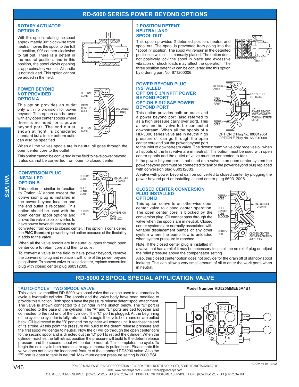## **RD-5000 SERIES POWER BEYOND OPTIONS**

#### **ROTARY ACTUATOR OPTION D**

With this option, rotating the spool approximately 90° clockwise from neutral moves the spool to the full in position, 90° counter clockwise to full out. There is a detent in the neutral position, and in this position, the spool clevis opening is approximately vertical. A handle is not included. This option cannot be added in the field.

#### **POWER BEYOND NOT PROVIDED OPTION A**

This option provides an outlet only with no provision for power beyond. This option can be used with any open center spools where there is no need for a power beyond port. The end outlet, shown at right, is considered standard but a top or bottom outlet can also be specified.

When all the valves spools are in neutral oil goes through the open center core to the outlet.

OPEN

**RETURN** 

CORE

**RETURN** 

CORE

ODEN

CORE

**CENTER** 

**RETHRN** 

CORE

END OUTLET

TO TANK)

**END OUTLET** 

TO TANK)

**IVERSION** 

(660312003)

◯

This option cannot be converted in the field to have power beyond. It also cannot be converted from open to closed center.

#### **CONVERSION PLUG INSTALLED OPTION B**

This option is similar in function to Option 'A' above except the conversion plug is installed in the power beyond location and the end outlet is relocated. This option should be used with the open center spool options and allows the valve to be converted to have power beyond function or be

converted from open to closed center. This option is considered the PMC Standard power beyond option because of the flexibility it adds to the valve.

When all the valve spools are in neutral oil goes through open center core to return core and then to outlet.

To convert a valve in the field to have power beyond, remove the conversion plug and replace it with one of the power beyond plugs listed. To convert valve to closed center, replace conversion plug with closed center plug 660312005.

#### **2 POSITION DETENT, NEUTRAL AND SPOOL OUT**

This option provides 2 detented position, neutral and spool out. The spool is prevented from going into the "spool in" position. The spool will remain in the detented position in which it is manually placed. The option does not positively lock the spool in place and excessive vibration or shock loads may affect the operation. The three position detent kit can be converted into this option by ordering part No. 671200006.

#### **POWER BEYOND PLUG INSTALLED OPTION C 3/4 NPTF POWER BEYOND PORT OPTION F #12 SAE POWER BEYOND PORT**

This option provides both an outlet and a power beyond port (also referred to as a high pressure carry over port). This allows another valve to be connected downstream. When all the spools of a RD-5000 series valve are in neutral high pressure oil can go through the open center core and out the power beyond port



OPTION C Plug No. 660312004 OPTION F Plug No. 660312008

to the inlet of downstream valve. The downstream valve only receives oil when all spools of the first valve are in neutral. This option must be used with open center spools and the outlet of valve must be connected to tank.

If the power beyond port is not used on a valve in an open center system the power beyond port must be connected to tank or the power beyond plug replaced with conversion plug 660312003.

A valve with power beyond can be converted to closed center by plugging the power beyond port or installing closed center plug 660312005.

#### **CLOSED CENTER CONVERSION PLUG INSTALLED OPTION D**

This option converts an otherwise open center valve to closed center operation. The open center core is blocked by the conversion plug. Oil cannot pass through the valve when the spools are in neutral. Closed center systems are normally associated with variable displacement pumps or any other system where the pump flow is unloaded when system pressure is reached.



Note: If the closed center plug is installed in

a valve that has a relief it may be necessary to install the no relief plug or adjust the relief pressure above the compensator setting.

Also, this closed center option does not provide for the drain off of standby spool leakage. This can allow a very small amount of oil to enter the work ports when in neutral

## **RD-5000 2 SPOOL SPECIAL APPLICATION VALVE**

### "AUTO-CYCLE" TWO SPOOL VALVE

This valve is a modified RD-5200 two spool valve that can be used to automatically cycle a hydraulic cylinder. The spools and the valve body have been modified to provide this function. Both spools have the pressure release detent spool attachment. The valve is shown connected to a cylinder in the sketch below. The "B" port is connected to the base of the cylinder. The "A" and "D" ports are tied together and connected to the rod end of the cylinder. The "C" port is plugged. At the beginning of the cycle the cylinder is fully retracted. To begin the cycle both handles are pulled back. Oil is directed to the "B" port and the cylinder will extend until it reaches the end of its stroke. At this point the pressure will build to the detent release pressure and the first spool will center to neutral. Now the oil will go through the open center core to the second spool and is directed out the "D" port to retract the cylinder. When the cylinder reaches the full retract position the pressure will build to the detent release pressure and the second spool will center to neutral. This completes the cycle. To begin the next cycle both handles are again manually pulled back. Please note this valve does not have the loadcheck feature of the standard RD5200 valve. Also the "B" port is open to tank in neutral. Maximum detent pressure setting is 2000 PSI.

#### Model Number RD525MMEE5A4B1



**VALVES**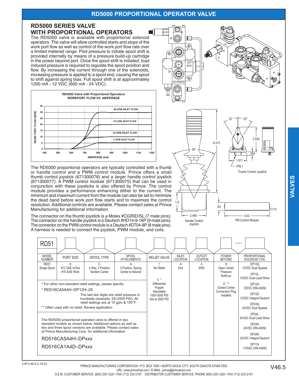## **RD5000 PROPORTIONAL OPERATOR VALVE**

z

 $\frac{8}{2}$ 

ô

## **RD5000 SERIES VALVE WITH PROPORTIONAL OPERATORS**

The RD5000 valve is available with proportional solenoid operators. The valve will allow controlled starts and stops of the work port flow as well as control of the work port flow rate over a limited metered range. Pilot pressure to initiate spool shift is provided internally by means of a pressure build-up cartridge in the power beyond port. Once the spool shift is initiated, load induced pressure is required to regulate the spool position and flow. By increasing the current through one of the solenoids, increasing pressure is applied to a spool end, causing the spool to shift against spring bias. Full spool shift is at approximately 1200 mA - 12 VDC (600 mA - 24 VDC).



The RD5000 proportional operators are typically controlled with a thumb or handle control and a PWM control module. Prince offers a small thumb control joystick (671300076) and a larger handle control joystick (671300077). A PWM control module (671300075) that can be used in conjunction with these joysticks is also offered by Prince. The control module provides a performance enhancing dither to the current. The minimum and maximum current from the module can also be set to minimize the dead band before work port flow starts and to maximize the control resolution. Additional controls are available. Please contact sales at Prince Manufacturing for additional information.

The connector on the thumb joystick is a Molex #CGRID/SL (7 male pins). The connector on the handle joystick is a Deutsch #HD14-9-16P (9 male pins). The connector on the PWM control module is a Deutsch #DT04-8P (8 male pins). A harness is needed to connect the joystick, PWM module, and coils.





.83

Handle Control Joystick

2.464

1.9

Thumb Control Joystick

4.53 PM Control Module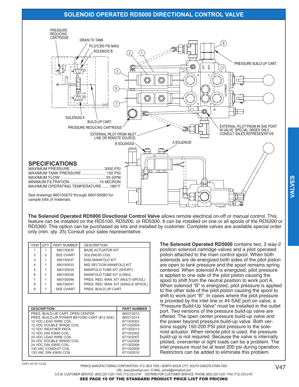## **SOLENOID OPERATED RD5000 DIRECTIONAL CONTROL VALVE**



The Solenoid Operated RD5000 Directional Control Valve allows remote electrical on-off or manual control. This feature can be installed on the RD5100, RD5200, or RD5300. It can be installed on one or all spools of the RD5200 or RD5300. This option can be purchased as kits and installed by customer. Complete valves are available special order only (min. qty. 25) Consult your sales representative.

| <b>ITEM</b> | <b>OTY</b>     | <b>PART NUMBER</b> | <b>DESCRIPTION</b>                 |
|-------------|----------------|--------------------|------------------------------------|
|             |                | 660150030          | <b>BASE ACTUATOR KIT</b>           |
| 2           | $\mathfrak{p}$ | <b>SEE CHART</b>   | SOLENOID COIL                      |
| 3           |                | 660150037          | END MANIFOLD KIT                   |
| 4           |                | 660150033          | MID SECTION MANIFOLD KIT           |
| 5           |                | 660150035          | MANIFOLD TUBE KIT (SHORT)          |
| 6           |                | 660150036          | MANIFOLD TUBE KIT (LONG)           |
| 7           |                | 660150046          | PRES. RED. MAN. KIT (MULTI-SPOOL)  |
| 8           |                | 660150047          | PRES. RED. MAN. KIT (SINGLE-SPOOL) |
| 9           |                | <b>SEE CHART</b>   | PRES. BUILD-UP CART.               |

| <b>DESCRIPTION</b>                         | <b>PART NUMBER</b> |
|--------------------------------------------|--------------------|
| PRES. BUILD-UP CART. OPEN CENTER           | 660312012          |
| PRES. BUILD-UP POWER BEYOND CART (#12 SAE) | 660312014          |
| 12 VDC LEAD WIRE COIL                      | 671302003          |
| 12 VDC DOUBLE SPADE COIL                   | 671322004          |
| <b>12 VDC WEATHER PACK</b>                 | 671302013          |
| 12 VDC DIN 43650 COIL                      | 671302002          |
| 24 VDC LEAD WIRE COIL                      | 671302007          |
| 24 VDC DOUBLE SPADE COIL                   | 671322008          |
| 24 VDC DIN 43650 COIL                      | 671302006          |
| 120 VAC CONDUIT COIL                       | 671302009          |
| 120 VAC DIN 43650 COIL                     | 671302010          |
|                                            |                    |

The Solenoid Operated RD5000 contains two, 3 way-2 position solenoid cartridge valves and a pilot operated piston attached to the main control spool. When both solenoids are de-energized both sides of the pilot piston are open to tank pressure and the spool remains spring centered. When solenoid A is energized, pilot pressure is applied to one side of the pilot piston causing the spool to shift from the neutral position to work port A. When solenoid "B" is energized, pilot pressure is applied to the other side of the pilot piston causing the spool to shift to work port "B". In cases where the pilot pressure is provided by the inlet line or #4 SAE port on valve, a "Pressure Build-Up Valve" must be installed in the outlet port. Two versions of the pressure build-up valve are offered. The open center pressure build-up valve and the power beyond pressure build-up valve. Both versions supply 150-200 PSI pilot pressure to the solenoid actuator. When remote pilot is used, the pressure build-up is not required. Because the valve is internally piloted, overcenter or light loads can be a problem. The inlet pressure must be at least 200 psi during operation. Restrictors can be added to eliminate this problem.

PRINCE MANUFACTURING CORPORATION . P.O. BOX 7000 . NORTH SIOUX CITY, SOUTH DAKOTA 57049-7000 URL: www.princehyd.com • E-MAIL: prince@princehyd.com O.E.M. CUSTOMER SERVICE: (605) 235-1220 • FAX (712) 233-2181 DISTRIBUTOR CUSTOMER SERVICE: PHONE (605) 235-1220 • FAX (712) 233-2181

 $V<sub>47</sub>$ 

SEE PAGE 19 OF THE STANDARD PRODUCT PRICE LIST FOR PRICING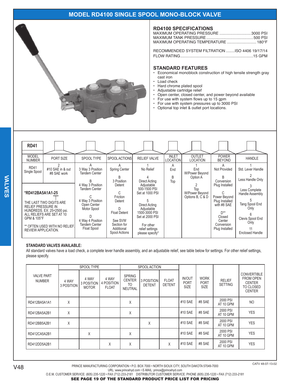## MODEL RD4100 SINGLE SPOOL MONO-BLOCK VALVE



#### **RD4100 SPECIFICATIONS**

| MAXIMUM OPERATING PRESSURE 3000 PSI  |  |
|--------------------------------------|--|
|                                      |  |
| MAXIMUM OPERATING TEMPERATURE  180°F |  |
|                                      |  |

RECOMMENDED SYSTEM FILTRATION ........ISO 4406 19/17/14 

#### **STANDARD FEATURES**

- Economical monoblock construction of high tensile strength gray cast iron
- Load check  $\ddot{\phantom{0}}$
- Hard chrome plated spool  $\bullet$
- $\ddot{\phantom{0}}$ Adjustable cartridge relief
	- Open center, closed center, and power beyond available
- $\ddot{\phantom{0}}$ For use with system flows up to 15 gpm
- $\bullet$ For use with system pressures up to 3000 PSI  $\ddot{\phantom{a}}$
- Optional top inlet & outlet port locations.

| <b>RD41</b>                                                                                |                                                                                                                     |                                                                                                                                                       |                                                                                                                                  |                                                                                                                                                                                      |                                 |                                           |                                                                                                                                                        |                                                                                                                                      |
|--------------------------------------------------------------------------------------------|---------------------------------------------------------------------------------------------------------------------|-------------------------------------------------------------------------------------------------------------------------------------------------------|----------------------------------------------------------------------------------------------------------------------------------|--------------------------------------------------------------------------------------------------------------------------------------------------------------------------------------|---------------------------------|-------------------------------------------|--------------------------------------------------------------------------------------------------------------------------------------------------------|--------------------------------------------------------------------------------------------------------------------------------------|
| <b>MODEL</b><br><b>NUMBER</b>                                                              | PORT SIZE                                                                                                           | SPOOL TYPE                                                                                                                                            | SPOOL ACTIONS                                                                                                                    | <b>RELIEF VALVE</b>                                                                                                                                                                  | <b>INLET</b><br><b>LOCATION</b> | <b>OUTLET</b><br><b>LOCATION</b>          | <b>POWER</b><br><b>BEYOND</b>                                                                                                                          | <b>HANDLE</b>                                                                                                                        |
| <b>RD41</b><br>Single Spool                                                                | #10 SAE in & out<br>#8 SAE work                                                                                     | 3 Way 3 Position<br>Tandem Center                                                                                                                     | Spring Center<br>R                                                                                                               | No Relief                                                                                                                                                                            | A<br>End<br>B                   | End<br>W/Power Beyond<br>Option A         | A<br>Not Provided                                                                                                                                      | Std. Lever Handle                                                                                                                    |
| *RD412BA5A1A1-25<br><b>RELIEF PRESSURE IN</b><br>GPM & 105°F<br><b>REVIEW APPLICATION.</b> | THE LAST TWO DIGITS ARE<br>HUNDREDS. EX: 25=2500 psi.<br>ALL RELIEFS ARE SET AT 10<br>** OFTEN USED WITH NO RELIEF. | 4 Way 3 Position<br><b>Tandem Center</b><br>4 Way 3 Position<br>Open Center<br>Motor Spool<br>4 Way 4 Position<br><b>Tandem Center</b><br>Float Spool | 3 Position<br>Detent<br>C.<br>Friction<br>Detent<br><b>Float Detent</b><br>See SVW<br>Section for<br>Additional<br>Spool Actions | Direct Acting<br>Adjustable<br>500-1500 PSI<br>Set at 1000 PSI<br>Direct Acting<br>Adjustable<br>1500-3000 PSI<br>Set at 2000 PSI<br>For other<br>relief settings<br>please specify* | Top                             | Top<br>W/Power Beyond<br>Options B, C & D | Conversion<br>Plug Installed<br>Power Beyond<br>Plug Installed<br>with #8 SAE<br>$\mathsf{D}^{**}$<br>Closed<br>Center<br>Conversion<br>Plug Installed | Less Handle Only<br>Less Complete<br>Handle Assembly<br>Tang Spool End<br>Only<br>Clevis Spool End<br>Only<br><b>Enclosed Handle</b> |

#### **STANDARD VALVES AVAILABLE:**

All standard valves have a load check, a complete lever handle assembly, and an adjustable relief, see table below for settings. For other relief settings, please specify.

|                                    |                     | SPOOL TYPE                          |                                     |                                                        | SPOOL ACTION                |                               |                                             |                                           |                                 |                                                                                              |
|------------------------------------|---------------------|-------------------------------------|-------------------------------------|--------------------------------------------------------|-----------------------------|-------------------------------|---------------------------------------------|-------------------------------------------|---------------------------------|----------------------------------------------------------------------------------------------|
| <b>VALVE PART</b><br><b>NUMBER</b> | 4 WAY<br>3 POSITION | 4 WAY<br>3 POSITION<br><b>MOTOR</b> | 4 WAY<br>4 POSITION<br><b>FLOAT</b> | <b>SPRING</b><br><b>CENTER</b><br>TO<br><b>NEUTRAL</b> | 3 POSITION<br><b>DETENT</b> | <b>FLOAT</b><br><b>DETENT</b> | <b>IN/OUT</b><br><b>PORT</b><br><b>SIZE</b> | <b>WORK</b><br><b>PORT</b><br><b>SIZE</b> | <b>RELIEF</b><br><b>SETTING</b> | <b>CONVERTIBLE</b><br><b>FROM OPEN</b><br><b>CENTER</b><br><b>TO CLOSED</b><br><b>CENTER</b> |
| RD412BA5A1A1                       | X                   |                                     |                                     | X                                                      |                             |                               | #10 SAE                                     | #8 SAE                                    | 2000 PSI<br>AT 10 GPM           | <b>NO</b>                                                                                    |
| RD412BA5A2B1                       | X                   |                                     |                                     | Χ                                                      |                             |                               | #10 SAE                                     | #8 SAE                                    | 2000 PSI<br>AT 10 GPM           | <b>YES</b>                                                                                   |
| RD412BB5A2B1                       | X                   |                                     |                                     |                                                        | X                           |                               | #10 SAE                                     | #8 SAE                                    | 2000 PSI<br>AT 10 GPM           | <b>YES</b>                                                                                   |
| RD412CA5A2B1                       |                     | X                                   |                                     | X                                                      |                             |                               | #10 SAE                                     | #8 SAE                                    | 2000 PSI<br>AT 10 GPM           | <b>YES</b>                                                                                   |
| RD412DD5A2B1                       |                     |                                     | X                                   | X                                                      |                             | X                             | #10 SAE                                     | #8 SAE                                    | 2000 PSI<br>AT 10 GPM           | <b>YES</b>                                                                                   |

**VALVES** 

URL: www.princehyd.com • E-MAIL: prince@princehyd.com O.E.M. CUSTOMER SERVICE: (605) 235-1220 · FAX (712) 233-2181 DISTRIBUTOR CUSTOMER SERVICE: PHONE (605) 235-1220 · FAX (712) 233-2181